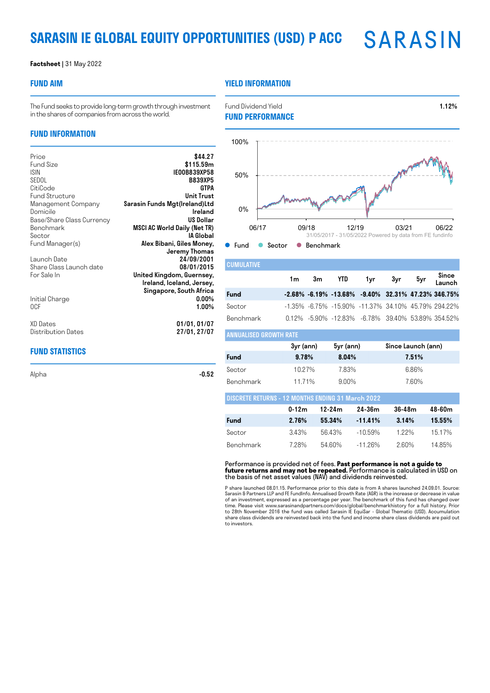## **SARASIN IE GLOBAL EQUITY OPPORTUNITIES (USD) P ACC**

### **Factsheet |** 31 May 2022

### **FUND AIM**

### **YIELD INFORMATION**

The Fund seeks to provide long-term growth through investment in the shares of companies from across the world.

### **FUND INFORMATION**

| Price                     | \$44.27                             |
|---------------------------|-------------------------------------|
| Fund Size                 | \$115.59m                           |
| <b>ISIN</b>               | IE00B839XP58                        |
| SEDOL                     | <b>B839XP5</b>                      |
| CitiCode                  | GTPA                                |
|                           | <b>Unit Trust</b>                   |
| <b>Fund Structure</b>     |                                     |
| Management Company        | Sarasin Funds Mgt(Ireland)Ltd       |
| Domicile                  | Ireland                             |
| Base/Share Class Currency | US Dollar                           |
| <b>Benchmark</b>          | <b>MSCI AC World Daily (Net TR)</b> |
| Sector                    | IA Global                           |
| Fund Manager(s)           | Alex Bibani, Giles Money,           |
|                           | Jeremy Thomas                       |
| Launch Date               | 24/09/2001                          |
|                           | 08/01/2015                          |
| Share Class Launch date   |                                     |
| For Sale In               | United Kingdom, Guernsey,           |
|                           | Ireland, Iceland, Jersey,           |
|                           | Singapore, South Africa             |
| Initial Charge            | $0.00\%$                            |
| 0CF                       | $1.00\%$                            |
|                           |                                     |
| XD Dates                  | 01/01,01/07                         |
|                           |                                     |
| Distribution Dates        | 27/01, 27/07                        |

### **FUND STATISTICS**

Alpha  $-0.52$ 

Fund Dividend Yield **1.12% FUND PERFORMANCE**



| <b>CUMULATIVE</b>          |     |        |                                                                 |     |     |                 |
|----------------------------|-----|--------|-----------------------------------------------------------------|-----|-----|-----------------|
|                            | 1m. | 3m YTD | 1yr i                                                           | 3yr | 5yr | Since<br>Launch |
| <b>Fund</b>                |     |        | $-2.68\% -6.19\% -13.68\% -9.40\% -32.31\% -47.23\% -346.75\%$  |     |     |                 |
| Sector                     |     |        | $-1.35\%$ $-6.75\%$ $-15.90\%$ $-11.37\%$ 34.10% 45.79% 294.22% |     |     |                 |
| Benchmark                  |     |        | 0.12% -5.90% -12.83% -6.78% 39.40% 53.89% 354.52%               |     |     |                 |
| I ANNIJAI ISED GROWTH RATE |     |        |                                                                 |     |     |                 |

|             | 3yr (ann)<br>5yr (ann) |          | Since Launch (ann) |  |  |  |  |
|-------------|------------------------|----------|--------------------|--|--|--|--|
| <b>Fund</b> | 9.78%                  | 8.04%    | 7.51%              |  |  |  |  |
| Sector      | 1027%                  | 7.83%    | 6.86%              |  |  |  |  |
| Benchmark   | 1171%                  | $9.00\%$ | 7.60%              |  |  |  |  |

| <b>DISCRETE RETURNS - 12 MONTHS ENDING 31 March 2022</b> |           |            |            |        |        |  |  |
|----------------------------------------------------------|-----------|------------|------------|--------|--------|--|--|
|                                                          | $0 - 12m$ | $12 - 24m$ | 24-36m     | 36-48m | 48-60m |  |  |
| <b>Fund</b>                                              | 2.76%     | 55.34%     | $-11.41\%$ | 3.14%  | 15.55% |  |  |
| Sector                                                   | 343%      | 5643%      | $-10.59\%$ | 1.22%  | 1517%  |  |  |
| Benchmark                                                | 7 2 8%    | 54.60%     | $-1126\%$  | 260%   | 1485%  |  |  |

Performance is provided net of fees. **Past performance is not a guide to future returns and may not be repeated.** Performance is calculated in USD on the basis of net asset values (NAV) and dividends reinvested.

P share launched 08.01.15. Performance prior to this date is from A shares launched 24.09.01. Source:<br>Sarasin & Partners LLP and FE Fundlnfo. Annualised Growth Rate (AGR) is the increase or decrease in value<br>of an investme share class dividends are reinvested back into the fund and income share class dividends are paid out to investors.

**SARASIN**